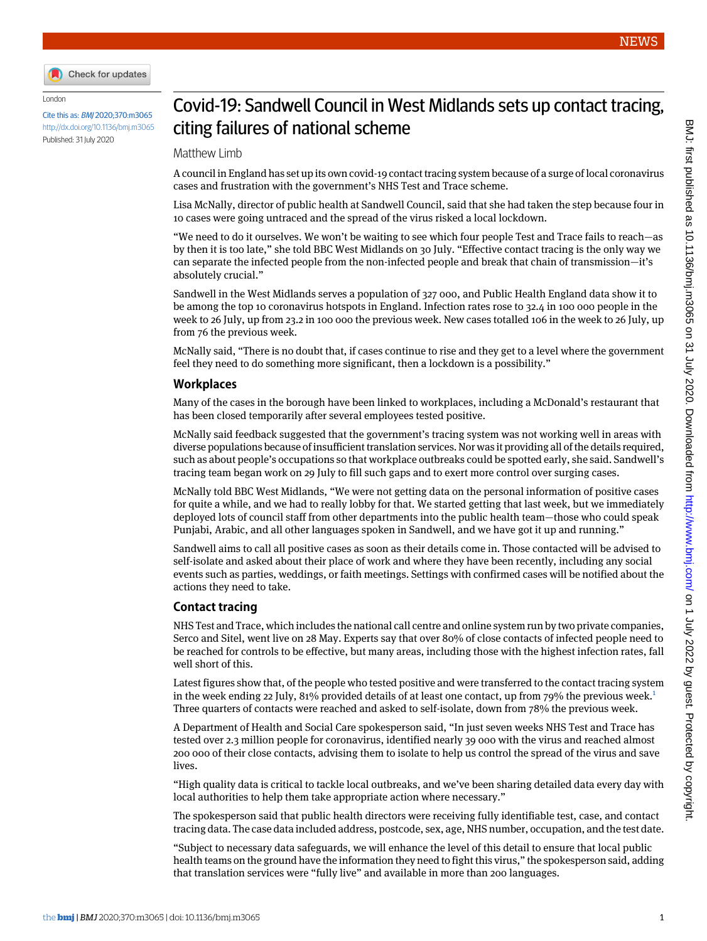

London

Cite this as: BMJ 2020;370:m3065 <http://dx.doi.org/10.1136/bmj.m3065> Published: 31 July 2020

## Covid-19: Sandwell Council in West Midlands sets up contact tracing, citing failures of national scheme

## Matthew Limb

A council in England has set up its own covid-19 contact tracing system because of a surge of local coronavirus cases and frustration with the government's NHS Test and Trace scheme.

Lisa McNally, director of public health at Sandwell Council, said that she had taken the step because four in 10 cases were going untraced and the spread of the virus risked a local lockdown.

"We need to do it ourselves. We won't be waiting to see which four people Test and Trace fails to reach—as by then it is too late," she told BBC West Midlands on 30 July. "Effective contact tracing is the only way we can separate the infected people from the non-infected people and break that chain of transmission—it's absolutely crucial."

Sandwell in the West Midlands serves a population of 327 000, and Public Health England data show it to be among the top 10 coronavirus hotspots in England. Infection rates rose to 32.4 in 100 000 people in the week to 26 July, up from 23.2 in 100 000 the previous week. New cases totalled 106 in the week to 26 July, up from 76 the previous week.

McNally said, "There is no doubt that, if cases continue to rise and they get to a level where the government feel they need to do something more significant, then a lockdown is a possibility."

## **Workplaces**

Many of the cases in the borough have been linked to workplaces, including a McDonald's restaurant that has been closed temporarily after several employees tested positive.

McNally said feedback suggested that the government's tracing system was not working well in areas with diverse populations because of insufficient translation services. Nor was it providing all of the details required, such as about people's occupations so that workplace outbreaks could be spotted early, she said. Sandwell's tracing team began work on 29 July to fill such gaps and to exert more control over surging cases.

McNally told BBC West Midlands, "We were not getting data on the personal information of positive cases for quite a while, and we had to really lobby for that. We started getting that last week, but we immediately deployed lots of council staff from other departments into the public health team—those who could speak Punjabi, Arabic, and all other languages spoken in Sandwell, and we have got it up and running."

Sandwell aims to call all positive cases as soon as their details come in. Those contacted will be advised to self-isolate and asked about their place of work and where they have been recently, including any social events such as parties, weddings, or faith meetings. Settings with confirmed cases will be notified about the actions they need to take.

## **Contact tracing**

NHS Test and Trace, which includes the national call centre and online system run by two private companies, Serco and Sitel, went live on 28 May. Experts say that over 80% of close contacts of infected people need to be reached for controls to be effective, but many areas, including those with the highest infection rates, fall well short of this.

Latest figures show that, of the people who tested positive and were transferred to the contact tracing system in the week ending 22 July,  $81\%$  $81\%$  $81\%$  provided details of at least one contact, up from 79% the previous week.<sup>1</sup> Three quarters of contacts were reached and asked to self-isolate, down from 78% the previous week.

A Department of Health and Social Care spokesperson said, "In just seven weeks NHS Test and Trace has tested over 2.3 million people for coronavirus, identified nearly 39 000 with the virus and reached almost 200 000 of their close contacts, advising them to isolate to help us control the spread of the virus and save lives.

"High quality data is critical to tackle local outbreaks, and we've been sharing detailed data every day with local authorities to help them take appropriate action where necessary."

The spokesperson said that public health directors were receiving fully identifiable test, case, and contact tracing data. The case data included address, postcode, sex, age, NHS number, occupation, and the test date.

"Subject to necessary data safeguards, we will enhance the level of this detail to ensure that local public health teams on the ground have the information they need to fight this virus," the spokesperson said, adding that translation services were "fully live" and available in more than 200 languages.